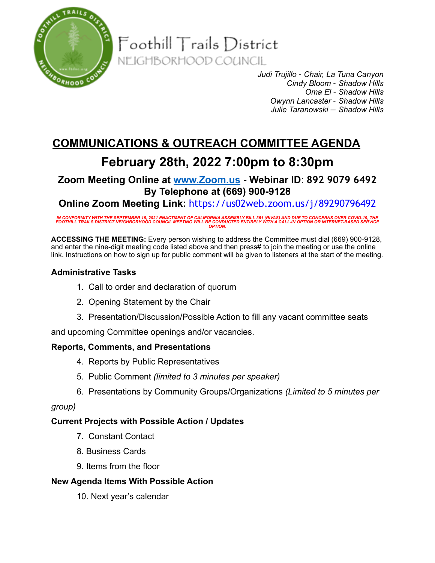

 $\mathsf{F}{\mathsf{o}{\mathsf{o}{\mathsf{th}}}$ ill  $\mathsf{T}{\mathsf{r}{\mathsf{a}}}{\mathsf{i}{\mathsf{l}}{\mathsf{s}{\mathsf{D}}}}$ istrict NEIGHBORHOOD COUNCIL

> *Judi Trujillo – Chair, La Tuna Canyon Cindy Bloom – Shadow Hills Oma El – Shadow Hills Owynn Lancaster – Shadow Hills Julie Taranowski — Shadow Hills*

# **COMMUNICATIONS & OUTREACH COMMITTEE AGENDA**

## **February 28th, 2022 7:00pm to 8:30pm**

**Zoom Meeting Online at [www.Zoom.us](http://www.zoom.us) - Webinar ID**: **892 9079 6492 By Telephone at (669) 900-9128** 

**Online Zoom Meeting Link:** <https://us02web.zoom.us/j/89290796492>

IN CONFORMITY WITH THE SEPTEMBER 16, 2021 ENACTMENT OF CALIFORNIA ASSEMBLY BILL 361 (RIVAS) AND DUE TO CONCERNS OVER COVID-19, THE<br>FOOTHILL TRAILS DISTRICT NEIGHBORHOOD COUNCIL MEETING WILL BE CONDUCTED ENTIRELY WITH A CAL

**ACCESSING THE MEETING:** Every person wishing to address the Committee must dial (669) 900-9128, and enter the nine-digit meeting code listed above and then press# to join the meeting or use the online link. Instructions on how to sign up for public comment will be given to listeners at the start of the meeting.

## **Administrative Tasks**

- 1. Call to order and declaration of quorum
- 2. Opening Statement by the Chair
- 3. Presentation/Discussion/Possible Action to fill any vacant committee seats

and upcoming Committee openings and/or vacancies.

### **Reports, Comments, and Presentations**

- 4. Reports by Public Representatives
- 5. Public Comment *(limited to 3 minutes per speaker)*
- 6. Presentations by Community Groups/Organizations *(Limited to 5 minutes per*

### *group)*

### **Current Projects with Possible Action / Updates**

- 7. Constant Contact
- 8. Business Cards
- 9. Items from the floor

### **New Agenda Items With Possible Action**

10. Next year's calendar